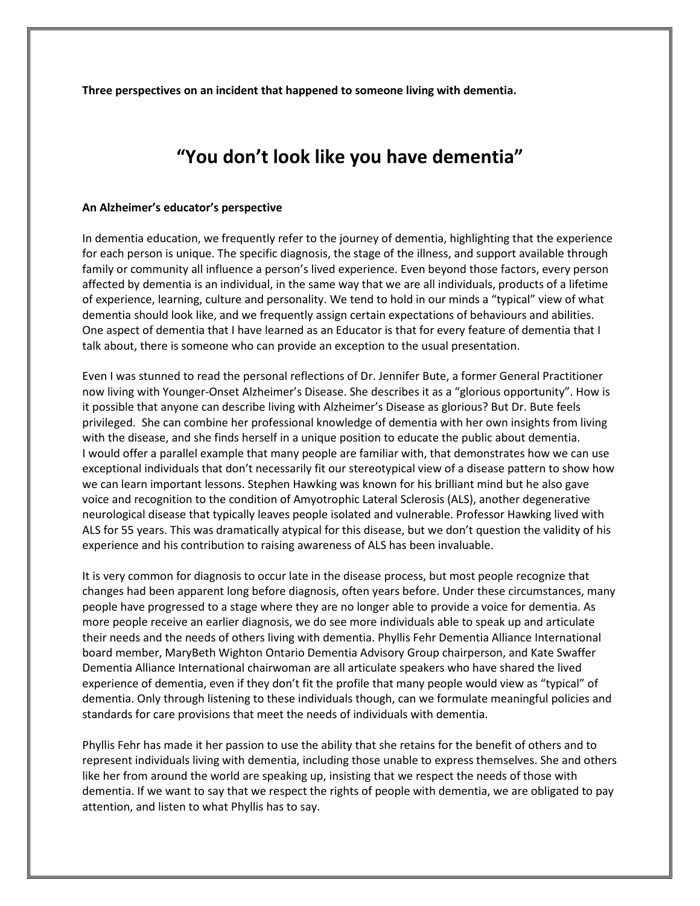**Three perspectives on an incident that happened to someone living with dementia.** 

# **"You don't look like you have dementia"**

### **An Alzheimer's educator's perspective**

In dementia education, we frequently refer to the journey of dementia, highlighting that the experience for each person is unique. The specific diagnosis, the stage of the illness, and support available through family or community all influence a person's lived experience. Even beyond those factors, every person affected by dementia is an individual, in the same way that we are all individuals, products of a lifetime of experience, learning, culture and personality. We tend to hold in our minds a "typical" view of what dementia should look like, and we frequently assign certain expectations of behaviours and abilities. One aspect of dementia that I have learned as an Educator is that for every feature of dementia that I talk about, there is someone who can provide an exception to the usual presentation.

Even I was stunned to read the personal reflections of Dr. Jennifer Bute, a former General Practitioner now living with Younger-Onset Alzheimer's Disease. She describes it as a "glorious opportunity". How is it possible that anyone can describe living with Alzheimer's Disease as glorious? But Dr. Bute feels privileged. She can combine her professional knowledge of dementia with her own insights from living with the disease, and she finds herself in a unique position to educate the public about dementia. I would offer a parallel example that many people are familiar with, that demonstrates how we can use exceptional individuals that don't necessarily fit our stereotypical view of a disease pattern to show how we can learn important lessons. Stephen Hawking was known for his brilliant mind but he also gave voice and recognition to the condition of Amyotrophic Lateral Sclerosis (ALS), another degenerative neurological disease that typically leaves people isolated and vulnerable. Professor Hawking lived with ALS for 55 years. This was dramatically atypical for this disease, but we don't question the validity of his experience and his contribution to raising awareness of ALS has been invaluable.

It is very common for diagnosis to occur late in the disease process, but most people recognize that changes had been apparent long before diagnosis, often years before. Under these circumstances, many people have progressed to a stage where they are no longer able to provide a voice for dementia. As more people receive an earlier diagnosis, we do see more individuals able to speak up and articulate their needs and the needs of others living with dementia. Phyllis Fehr Dementia Alliance International board member, MaryBeth Wighton Ontario Dementia Advisory Group chairperson, and Kate Swaffer Dementia Alliance International chairwoman are all articulate speakers who have shared the lived experience of dementia, even if they don't fit the profile that many people would view as "typical" of dementia. Only through listening to these individuals though, can we formulate meaningful policies and standards for care provisions that meet the needs of individuals with dementia.

Phyllis Fehr has made it her passion to use the ability that she retains for the benefit of others and to represent individuals living with dementia, including those unable to express themselves. She and others like her from around the world are speaking up, insisting that we respect the needs of those with dementia. If we want to say that we respect the rights of people with dementia, we are obligated to pay attention, and listen to what Phyllis has to say.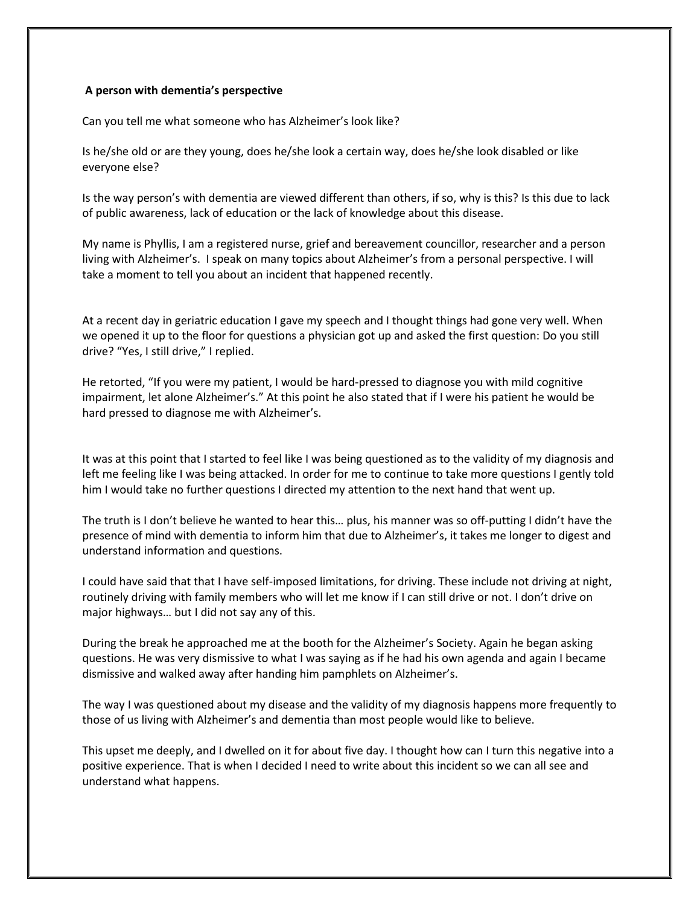## **A person with dementia's perspective**

Can you tell me what someone who has Alzheimer's look like?

Is he/she old or are they young, does he/she look a certain way, does he/she look disabled or like everyone else?

Is the way person's with dementia are viewed different than others, if so, why is this? Is this due to lack of public awareness, lack of education or the lack of knowledge about this disease.

My name is Phyllis, I am a registered nurse, grief and bereavement councillor, researcher and a person living with Alzheimer's. I speak on many topics about Alzheimer's from a personal perspective. I will take a moment to tell you about an incident that happened recently.

At a recent day in geriatric education I gave my speech and I thought things had gone very well. When we opened it up to the floor for questions a physician got up and asked the first question: Do you still drive? "Yes, I still drive," I replied.

He retorted, "If you were my patient, I would be hard-pressed to diagnose you with mild cognitive impairment, let alone Alzheimer's." At this point he also stated that if I were his patient he would be hard pressed to diagnose me with Alzheimer's.

It was at this point that I started to feel like I was being questioned as to the validity of my diagnosis and left me feeling like I was being attacked. In order for me to continue to take more questions I gently told him I would take no further questions I directed my attention to the next hand that went up.

The truth is I don't believe he wanted to hear this… plus, his manner was so off-putting I didn't have the presence of mind with dementia to inform him that due to Alzheimer's, it takes me longer to digest and understand information and questions.

I could have said that that I have self-imposed limitations, for driving. These include not driving at night, routinely driving with family members who will let me know if I can still drive or not. I don't drive on major highways… but I did not say any of this.

During the break he approached me at the booth for the Alzheimer's Society. Again he began asking questions. He was very dismissive to what I was saying as if he had his own agenda and again I became dismissive and walked away after handing him pamphlets on Alzheimer's.

The way I was questioned about my disease and the validity of my diagnosis happens more frequently to those of us living with Alzheimer's and dementia than most people would like to believe.

This upset me deeply, and I dwelled on it for about five day. I thought how can I turn this negative into a positive experience. That is when I decided I need to write about this incident so we can all see and understand what happens.